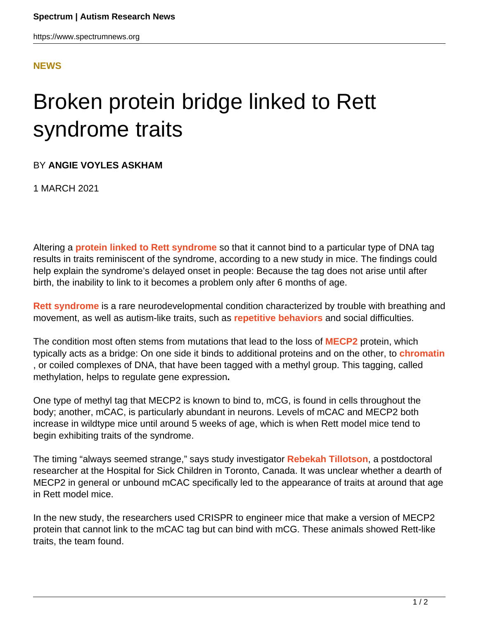## **[NEWS](HTTPS://WWW.SPECTRUMNEWS.ORG/NEWS/)**

## Broken protein bridge linked to Rett syndrome traits

## BY **ANGIE VOYLES ASKHAM**

1 MARCH 2021

Altering a **[protein linked to Rett syndrome](https://doi.org/10.1016/j.molcel.2021.01.011)** so that it cannot bind to a particular type of DNA tag results in traits reminiscent of the syndrome, according to a new study in mice. The findings could help explain the syndrome's delayed onset in people: Because the tag does not arise until after birth, the inability to link to it becomes a problem only after 6 months of age.

**[Rett syndrome](https://www.spectrumnews.org/news/rett-syndromes-link-to-autism-explained/)** is a rare neurodevelopmental condition characterized by trouble with breathing and movement, as well as autism-like traits, such as **[repetitive behaviors](https://www.spectrumnews.org/news/repetitive-behaviors-and-stimming-in-autism-explained/)** and social difficulties.

The condition most often stems from mutations that lead to the loss of **[MECP2](https://gene.sfari.org/database/human-gene/MECP2)** protein, which typically acts as a bridge: On one side it binds to additional proteins and on the other, to **[chromatin](https://www.spectrumnews.org/wiki/chromatin/)** , or coiled complexes of DNA, that have been tagged with a methyl group. This tagging, called methylation, helps to regulate gene expression**.**

One type of methyl tag that MECP2 is known to bind to, mCG, is found in cells throughout the body; another, mCAC, is particularly abundant in neurons. Levels of mCAC and MECP2 both increase in wildtype mice until around 5 weeks of age, which is when Rett model mice tend to begin exhibiting traits of the syndrome.

The timing "always seemed strange," says study investigator **[Rebekah Tillotson](https://lab.research.sickkids.ca/justice/lab-members/anne-rebekah-tillotson/)**, a postdoctoral researcher at the Hospital for Sick Children in Toronto, Canada. It was unclear whether a dearth of MECP2 in general or unbound mCAC specifically led to the appearance of traits at around that age in Rett model mice.

In the new study, the researchers used CRISPR to engineer mice that make a version of MECP2 protein that cannot link to the mCAC tag but can bind with mCG. These animals showed Rett-like traits, the team found.